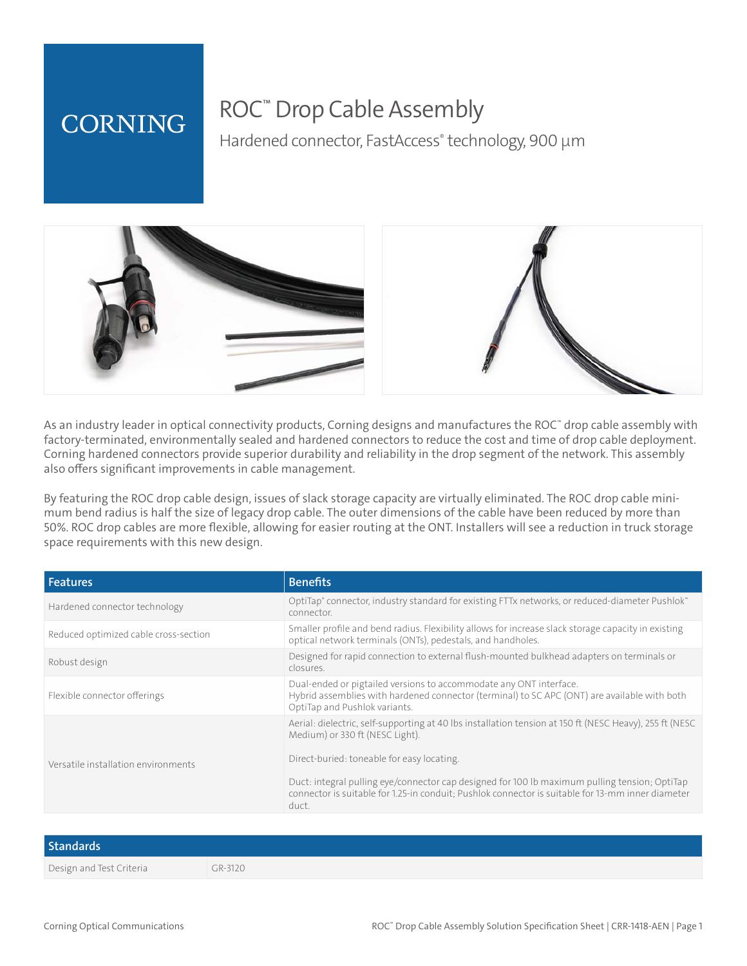## **CORNING**

## ROC™ Drop Cable Assembly

Hardened connector, FastAccess<sup>®</sup> technology, 900 µm



As an industry leader in optical connectivity products, Corning designs and manufactures the ROC™ drop cable assembly with factory-terminated, environmentally sealed and hardened connectors to reduce the cost and time of drop cable deployment. Corning hardened connectors provide superior durability and reliability in the drop segment of the network. This assembly also offers significant improvements in cable management.

By featuring the ROC drop cable design, issues of slack storage capacity are virtually eliminated. The ROC drop cable minimum bend radius is half the size of legacy drop cable. The outer dimensions of the cable have been reduced by more than 50%. ROC drop cables are more flexible, allowing for easier routing at the ONT. Installers will see a reduction in truck storage space requirements with this new design.

| <b>Features</b>                       | <b>Benefits</b>                                                                                                                                                                                             |
|---------------------------------------|-------------------------------------------------------------------------------------------------------------------------------------------------------------------------------------------------------------|
| Hardened connector technology         | "OptiTap" connector, industry standard for existing FTTx networks, or reduced-diameter Pushlok<br>connector.                                                                                                |
| Reduced optimized cable cross-section | Smaller profile and bend radius. Flexibility allows for increase slack storage capacity in existing<br>optical network terminals (ONTs), pedestals, and handholes.                                          |
| Robust design                         | Designed for rapid connection to external flush-mounted bulkhead adapters on terminals or<br>closures.                                                                                                      |
| Flexible connector offerings          | Dual-ended or pigtailed versions to accommodate any ONT interface.<br>Hybrid assemblies with hardened connector (terminal) to SC APC (ONT) are available with both<br>OptiTap and Pushlok variants.         |
|                                       | Aerial: dielectric, self-supporting at 40 lbs installation tension at 150 ft (NESC Heavy), 255 ft (NESC<br>Medium) or 330 ft (NESC Light).<br>Direct-buried: toneable for easy locating.                    |
| Versatile installation environments   |                                                                                                                                                                                                             |
|                                       | Duct: integral pulling eye/connector cap designed for 100 lb maximum pulling tension; OptiTap<br>connector is suitable for 1.25-in conduit; Pushlok connector is suitable for 13-mm inner diameter<br>duct. |

| <b>Standards</b>         |         |
|--------------------------|---------|
| Design and Test Criteria | GR-3120 |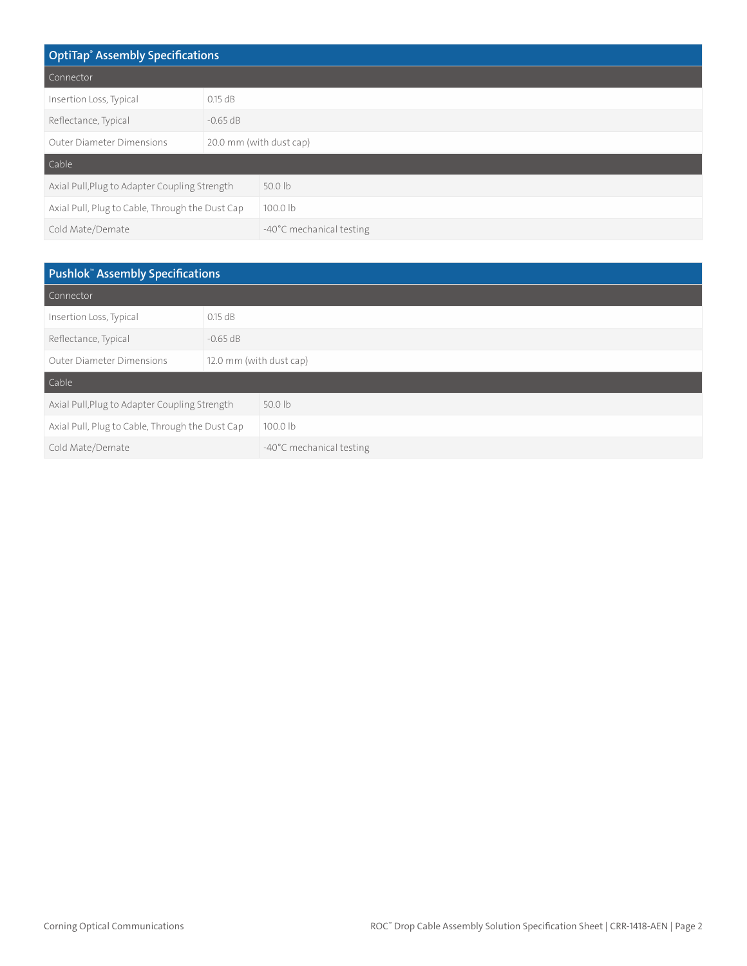| <b>OptiTap<sup>®</sup></b> Assembly Specifications |                         |                          |
|----------------------------------------------------|-------------------------|--------------------------|
| Connector                                          |                         |                          |
| Insertion Loss, Typical                            | $0.15$ dB               |                          |
| Reflectance, Typical                               | $-0.65$ dB              |                          |
| <b>Outer Diameter Dimensions</b>                   | 20.0 mm (with dust cap) |                          |
| Cable                                              |                         |                          |
| Axial Pull, Plug to Adapter Coupling Strength      |                         | $50.0$ lb                |
| Axial Pull, Plug to Cable, Through the Dust Cap    |                         | 100.0 lb                 |
| Cold Mate/Demate                                   |                         | -40°C mechanical testing |

| Pushlok <sup>"</sup> Assembly Specifications    |                         |                          |
|-------------------------------------------------|-------------------------|--------------------------|
| Connector                                       |                         |                          |
| Insertion Loss, Typical                         | $0.15$ dB               |                          |
| Reflectance, Typical                            | $-0.65$ dB              |                          |
| <b>Outer Diameter Dimensions</b>                | 12.0 mm (with dust cap) |                          |
| Cable                                           |                         |                          |
| Axial Pull, Plug to Adapter Coupling Strength   |                         | $50.0$ lb                |
| Axial Pull, Plug to Cable, Through the Dust Cap |                         | 100.0 lb                 |
| Cold Mate/Demate                                |                         | -40°C mechanical testing |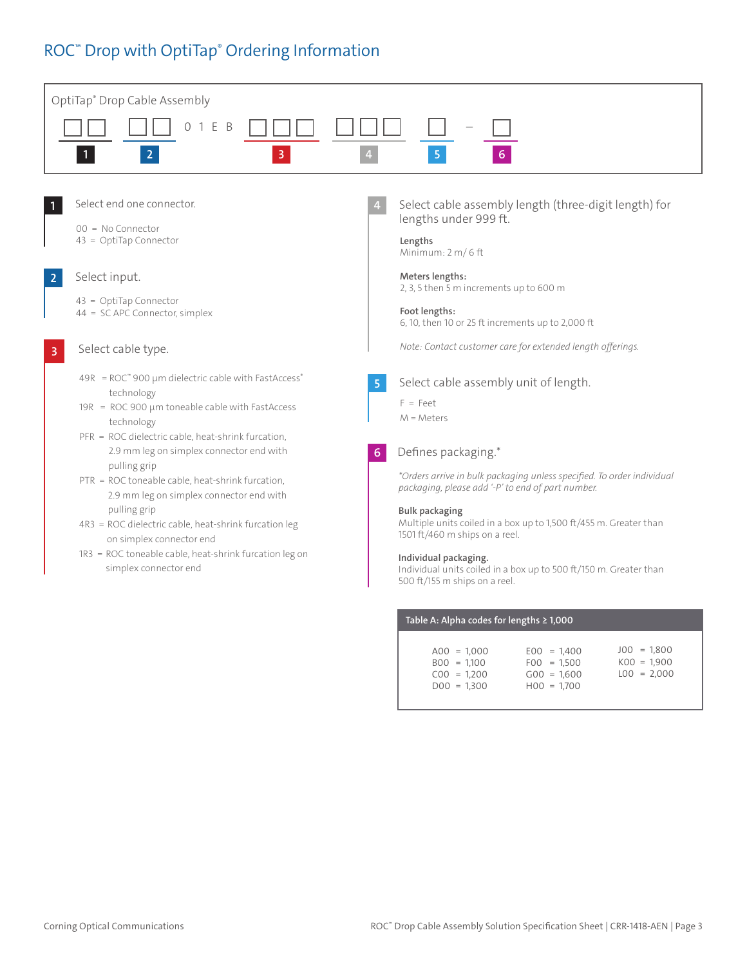### ROC™ Drop with OptiTap® Ordering Information



| Table A: Alpha codes for lengths $\geq 1,000$                    |                                                                  |                                                 |
|------------------------------------------------------------------|------------------------------------------------------------------|-------------------------------------------------|
| $A00 = 1.000$<br>$B00 = 1.100$<br>$C00 = 1.200$<br>$DOO = 1.300$ | $E00 = 1.400$<br>$F00 = 1,500$<br>$G00 = 1.600$<br>$H00 = 1.700$ | $JO0 = 1.800$<br>$K00 = 1.900$<br>$LOO = 2.000$ |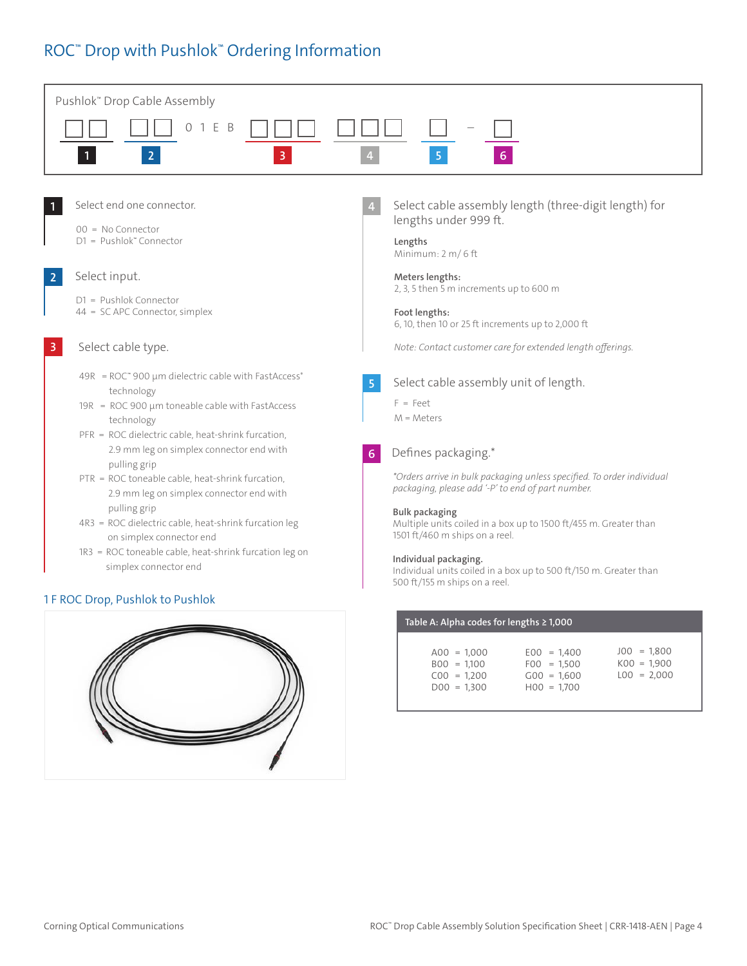### ROC™ Drop with Pushlok™ Ordering Information





| $JO0 = 1,800$<br>$E00 = 1.400$<br>$A00 = 1.000$<br>$KOO = 1,900$<br>$B00 = 1.100$<br>$F00 = 1.500$<br>$LOO = 2.000$<br>$G00 = 1.600$<br>$C00 = 1.200$<br>$H00 = 1.700$<br>$DOO = 1.300$ |  |
|-----------------------------------------------------------------------------------------------------------------------------------------------------------------------------------------|--|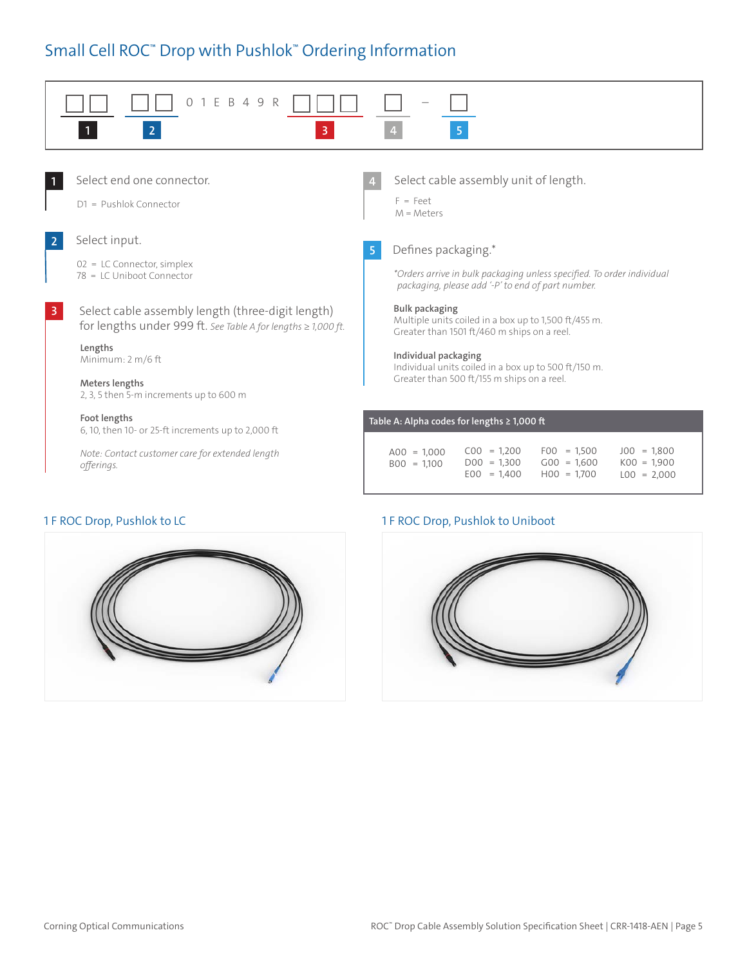## Small Cell ROC™ Drop with Pushlok™ Ordering Information





### 1 F ROC Drop, Pushlok to LC 1 F ROC Drop, Pushlok to Uniboot

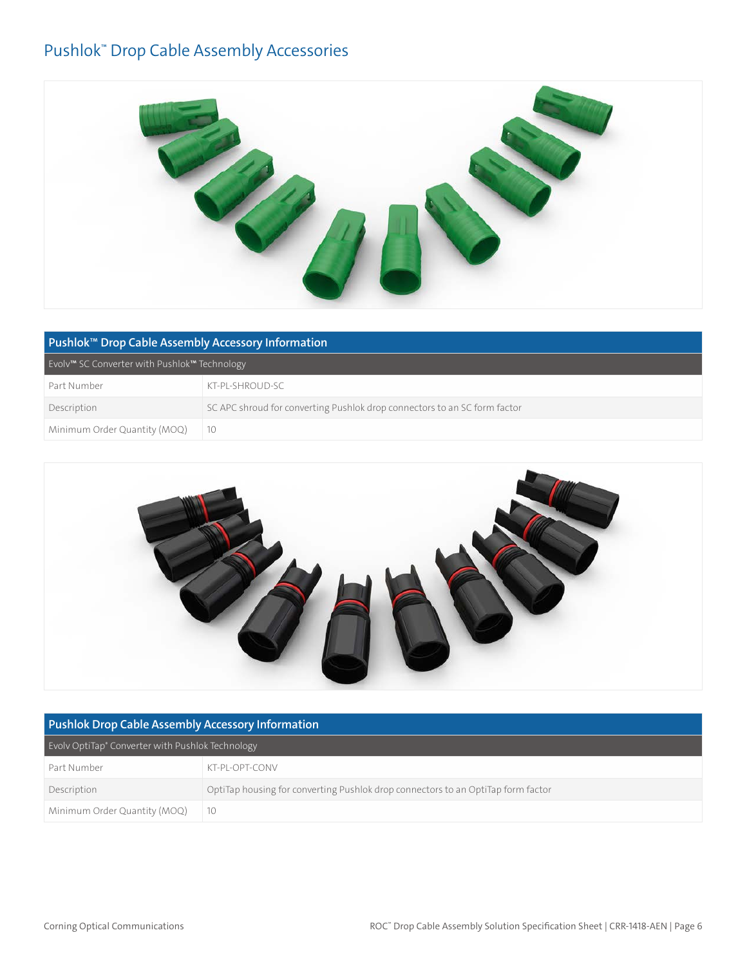### Pushlok™ Drop Cable Assembly Accessories



| Pushlok <sup>™</sup> Drop Cable Assembly Accessory Information |                                                                           |
|----------------------------------------------------------------|---------------------------------------------------------------------------|
| Evolv™ SC Converter with Pushlok™ Technology                   |                                                                           |
| Part Number                                                    | KT-PL-SHROUD-SC                                                           |
| Description                                                    | SC APC shroud for converting Pushlok drop connectors to an SC form factor |
| Minimum Order Quantity (MOQ)                                   | 10                                                                        |



| <b>Pushlok Drop Cable Assembly Accessory Information</b>     |                                                                                  |  |
|--------------------------------------------------------------|----------------------------------------------------------------------------------|--|
| Evoly OptiTap <sup>®</sup> Converter with Pushlok Technology |                                                                                  |  |
| Part Number                                                  | KT-PL-OPT-CONV                                                                   |  |
| Description                                                  | OptiTap housing for converting Pushlok drop connectors to an OptiTap form factor |  |
| Minimum Order Quantity (MOQ)                                 | 10                                                                               |  |